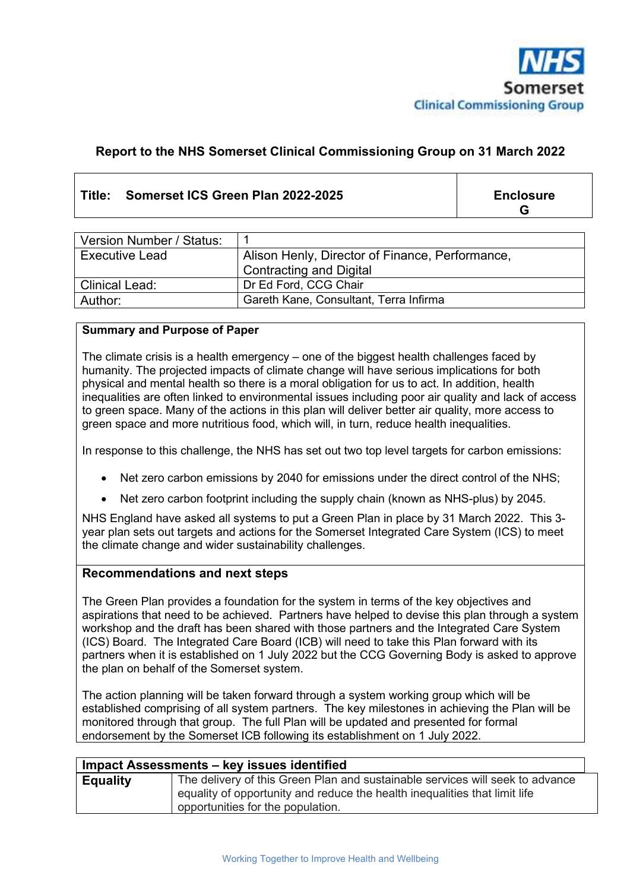

#### **Report to the NHS Somerset Clinical Commissioning Group on 31 March 2022**

#### **Title: Somerset ICS Green Plan 2022-2025 Enclosure**

**G**

| Version Number / Status: |                                                 |
|--------------------------|-------------------------------------------------|
| <b>Executive Lead</b>    | Alison Henly, Director of Finance, Performance, |
|                          | Contracting and Digital                         |
| <b>Clinical Lead:</b>    | Dr Ed Ford, CCG Chair                           |
| Author:                  | Gareth Kane, Consultant, Terra Infirma          |

#### **Summary and Purpose of Paper**

The climate crisis is a health emergency – one of the biggest health challenges faced by humanity. The projected impacts of climate change will have serious implications for both physical and mental health so there is a moral obligation for us to act. In addition, health inequalities are often linked to environmental issues including poor air quality and lack of access to green space. Many of the actions in this plan will deliver better air quality, more access to green space and more nutritious food, which will, in turn, reduce health inequalities.

In response to this challenge, the NHS has set out two top level targets for carbon emissions:

- Net zero carbon emissions by 2040 for emissions under the direct control of the NHS;
- Net zero carbon footprint including the supply chain (known as NHS-plus) by 2045.

NHS England have asked all systems to put a Green Plan in place by 31 March 2022. This 3 year plan sets out targets and actions for the Somerset Integrated Care System (ICS) to meet the climate change and wider sustainability challenges.

#### **Recommendations and next steps**

The Green Plan provides a foundation for the system in terms of the key objectives and aspirations that need to be achieved. Partners have helped to devise this plan through a system workshop and the draft has been shared with those partners and the Integrated Care System (ICS) Board. The Integrated Care Board (ICB) will need to take this Plan forward with its partners when it is established on 1 July 2022 but the CCG Governing Body is asked to approve the plan on behalf of the Somerset system.

The action planning will be taken forward through a system working group which will be established comprising of all system partners. The key milestones in achieving the Plan will be monitored through that group. The full Plan will be updated and presented for formal endorsement by the Somerset ICB following its establishment on 1 July 2022.

| Impact Assessments - key issues identified |                                                                                                                                                                                                  |  |
|--------------------------------------------|--------------------------------------------------------------------------------------------------------------------------------------------------------------------------------------------------|--|
| <b>Equality</b>                            | The delivery of this Green Plan and sustainable services will seek to advance<br>equality of opportunity and reduce the health inequalities that limit life<br>opportunities for the population. |  |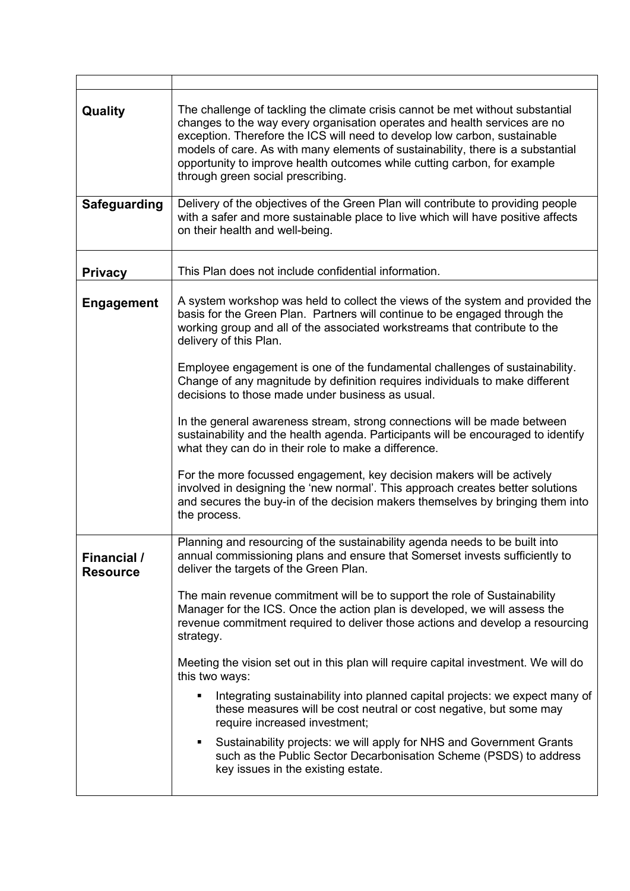| Quality                               | The challenge of tackling the climate crisis cannot be met without substantial<br>changes to the way every organisation operates and health services are no<br>exception. Therefore the ICS will need to develop low carbon, sustainable<br>models of care. As with many elements of sustainability, there is a substantial<br>opportunity to improve health outcomes while cutting carbon, for example<br>through green social prescribing. |  |  |
|---------------------------------------|----------------------------------------------------------------------------------------------------------------------------------------------------------------------------------------------------------------------------------------------------------------------------------------------------------------------------------------------------------------------------------------------------------------------------------------------|--|--|
| <b>Safeguarding</b>                   | Delivery of the objectives of the Green Plan will contribute to providing people<br>with a safer and more sustainable place to live which will have positive affects<br>on their health and well-being.                                                                                                                                                                                                                                      |  |  |
| <b>Privacy</b>                        | This Plan does not include confidential information.                                                                                                                                                                                                                                                                                                                                                                                         |  |  |
| <b>Engagement</b>                     | A system workshop was held to collect the views of the system and provided the<br>basis for the Green Plan. Partners will continue to be engaged through the<br>working group and all of the associated workstreams that contribute to the<br>delivery of this Plan.                                                                                                                                                                         |  |  |
|                                       | Employee engagement is one of the fundamental challenges of sustainability.<br>Change of any magnitude by definition requires individuals to make different<br>decisions to those made under business as usual.                                                                                                                                                                                                                              |  |  |
|                                       | In the general awareness stream, strong connections will be made between<br>sustainability and the health agenda. Participants will be encouraged to identify<br>what they can do in their role to make a difference.                                                                                                                                                                                                                        |  |  |
|                                       | For the more focussed engagement, key decision makers will be actively<br>involved in designing the 'new normal'. This approach creates better solutions<br>and secures the buy-in of the decision makers themselves by bringing them into<br>the process.                                                                                                                                                                                   |  |  |
| <b>Financial /</b><br><b>Resource</b> | Planning and resourcing of the sustainability agenda needs to be built into<br>annual commissioning plans and ensure that Somerset invests sufficiently to<br>deliver the targets of the Green Plan.                                                                                                                                                                                                                                         |  |  |
|                                       | The main revenue commitment will be to support the role of Sustainability<br>Manager for the ICS. Once the action plan is developed, we will assess the<br>revenue commitment required to deliver those actions and develop a resourcing<br>strategy.                                                                                                                                                                                        |  |  |
|                                       | Meeting the vision set out in this plan will require capital investment. We will do<br>this two ways:                                                                                                                                                                                                                                                                                                                                        |  |  |
|                                       | Integrating sustainability into planned capital projects: we expect many of<br>٠<br>these measures will be cost neutral or cost negative, but some may<br>require increased investment;                                                                                                                                                                                                                                                      |  |  |
|                                       | Sustainability projects: we will apply for NHS and Government Grants<br>such as the Public Sector Decarbonisation Scheme (PSDS) to address<br>key issues in the existing estate.                                                                                                                                                                                                                                                             |  |  |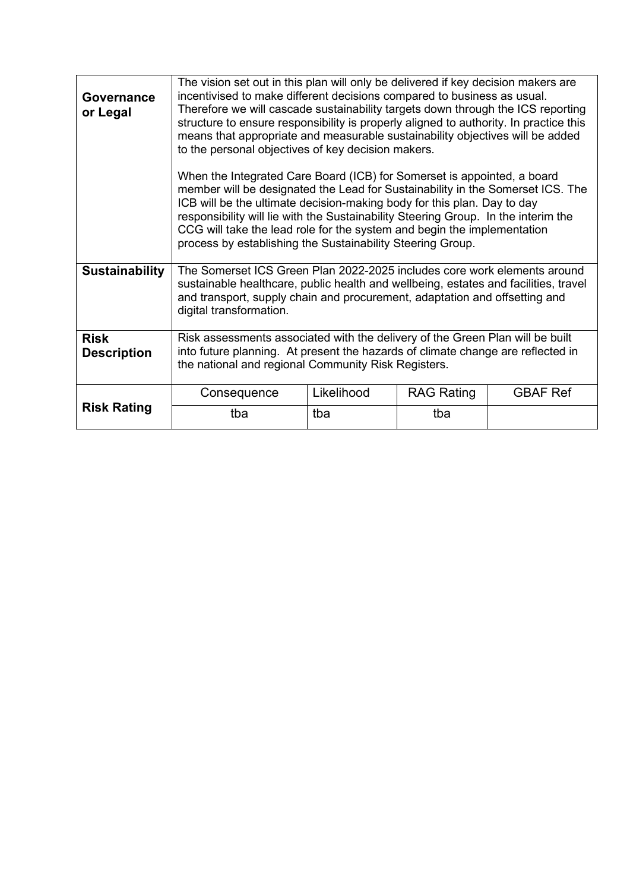| Governance<br>or Legal            | The vision set out in this plan will only be delivered if key decision makers are<br>incentivised to make different decisions compared to business as usual.<br>Therefore we will cascade sustainability targets down through the ICS reporting<br>structure to ensure responsibility is properly aligned to authority. In practice this<br>means that appropriate and measurable sustainability objectives will be added<br>to the personal objectives of key decision makers. |            |                   |                 |  |
|-----------------------------------|---------------------------------------------------------------------------------------------------------------------------------------------------------------------------------------------------------------------------------------------------------------------------------------------------------------------------------------------------------------------------------------------------------------------------------------------------------------------------------|------------|-------------------|-----------------|--|
|                                   | When the Integrated Care Board (ICB) for Somerset is appointed, a board<br>member will be designated the Lead for Sustainability in the Somerset ICS. The<br>ICB will be the ultimate decision-making body for this plan. Day to day<br>responsibility will lie with the Sustainability Steering Group. In the interim the<br>CCG will take the lead role for the system and begin the implementation<br>process by establishing the Sustainability Steering Group.             |            |                   |                 |  |
| <b>Sustainability</b>             | The Somerset ICS Green Plan 2022-2025 includes core work elements around<br>sustainable healthcare, public health and wellbeing, estates and facilities, travel<br>and transport, supply chain and procurement, adaptation and offsetting and<br>digital transformation.                                                                                                                                                                                                        |            |                   |                 |  |
| <b>Risk</b><br><b>Description</b> | Risk assessments associated with the delivery of the Green Plan will be built<br>into future planning. At present the hazards of climate change are reflected in<br>the national and regional Community Risk Registers.                                                                                                                                                                                                                                                         |            |                   |                 |  |
|                                   | Consequence                                                                                                                                                                                                                                                                                                                                                                                                                                                                     | Likelihood | <b>RAG Rating</b> | <b>GBAF Ref</b> |  |
| <b>Risk Rating</b>                | tba                                                                                                                                                                                                                                                                                                                                                                                                                                                                             | tba        | tba               |                 |  |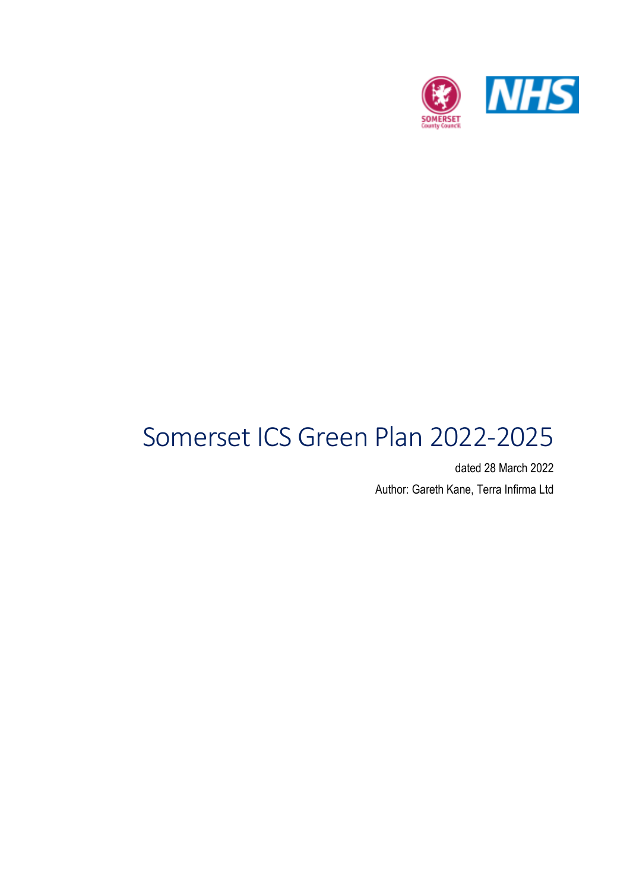

# Somerset ICS Green Plan 2022-2025

dated 28 March 2022 Author: Gareth Kane, Terra Infirma Ltd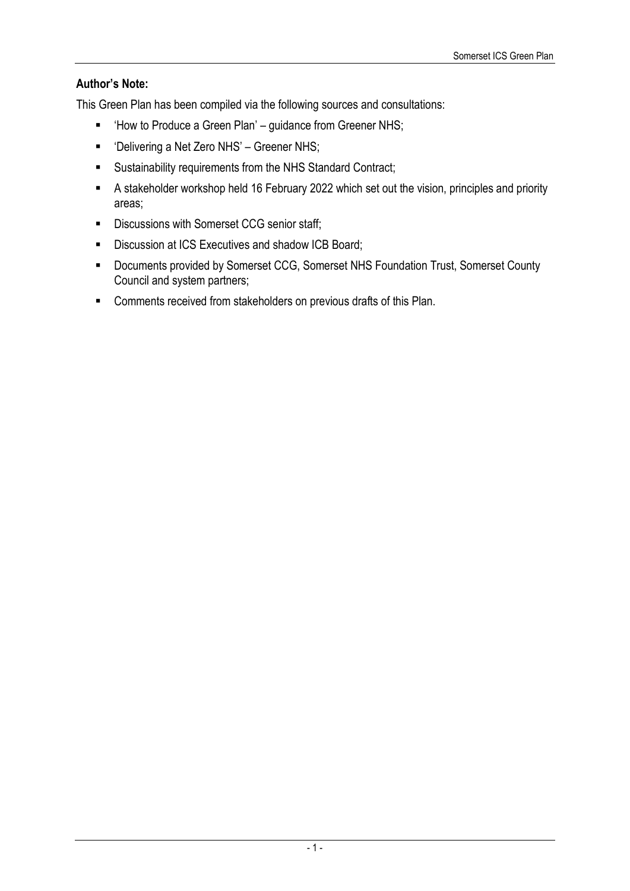### **Author's Note:**

This Green Plan has been compiled via the following sources and consultations:

- 'How to Produce a Green Plan' guidance from Greener NHS;
- 'Delivering a Net Zero NHS' Greener NHS;
- Sustainability requirements from the NHS Standard Contract;
- A stakeholder workshop held 16 February 2022 which set out the vision, principles and priority areas;
- **Discussions with Somerset CCG senior staff;**
- Discussion at ICS Executives and shadow ICB Board;
- Documents provided by Somerset CCG, Somerset NHS Foundation Trust, Somerset County Council and system partners;
- **EXECOMMENTS** For Comments received from stakeholders on previous drafts of this Plan.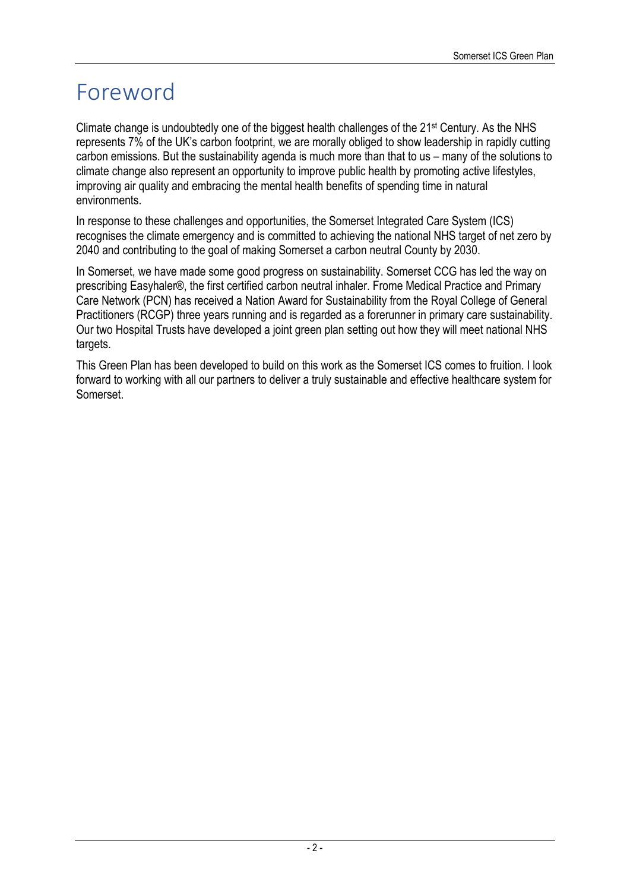# Foreword

Climate change is undoubtedly one of the biggest health challenges of the 21st Century. As the NHS represents 7% of the UK's carbon footprint, we are morally obliged to show leadership in rapidly cutting carbon emissions. But the sustainability agenda is much more than that to us – many of the solutions to climate change also represent an opportunity to improve public health by promoting active lifestyles, improving air quality and embracing the mental health benefits of spending time in natural environments.

In response to these challenges and opportunities, the Somerset Integrated Care System (ICS) recognises the climate emergency and is committed to achieving the national NHS target of net zero by 2040 and contributing to the goal of making Somerset a carbon neutral County by 2030.

In Somerset, we have made some good progress on sustainability. Somerset CCG has led the way on prescribing Easyhaler®, the first certified carbon neutral inhaler. Frome Medical Practice and Primary Care Network (PCN) has received a Nation Award for Sustainability from the Royal College of General Practitioners (RCGP) three years running and is regarded as a forerunner in primary care sustainability. Our two Hospital Trusts have developed a joint green plan setting out how they will meet national NHS targets.

This Green Plan has been developed to build on this work as the Somerset ICS comes to fruition. I look forward to working with all our partners to deliver a truly sustainable and effective healthcare system for Somerset.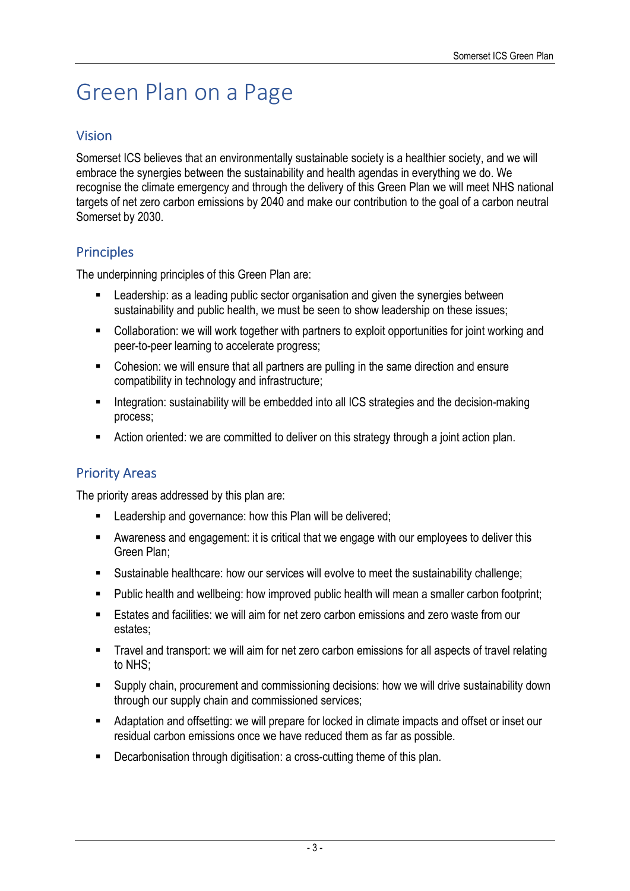# Green Plan on a Page

### Vision

Somerset ICS believes that an environmentally sustainable society is a healthier society, and we will embrace the synergies between the sustainability and health agendas in everything we do. We recognise the climate emergency and through the delivery of this Green Plan we will meet NHS national targets of net zero carbon emissions by 2040 and make our contribution to the goal of a carbon neutral Somerset by 2030.

# **Principles**

The underpinning principles of this Green Plan are:

- **EXECT** Leadership: as a leading public sector organisation and given the synergies between sustainability and public health, we must be seen to show leadership on these issues;
- Collaboration: we will work together with partners to exploit opportunities for joint working and peer-to-peer learning to accelerate progress;
- Cohesion: we will ensure that all partners are pulling in the same direction and ensure compatibility in technology and infrastructure;
- **Integration: sustainability will be embedded into all ICS strategies and the decision-making** process;
- **EXTERN** Action oriented: we are committed to deliver on this strategy through a joint action plan.

## **Priority Areas**

The priority areas addressed by this plan are:

- Leadership and governance: how this Plan will be delivered;
- Awareness and engagement: it is critical that we engage with our employees to deliver this Green Plan;
- Sustainable healthcare: how our services will evolve to meet the sustainability challenge;
- **Public health and wellbeing: how improved public health will mean a smaller carbon footprint;**
- **Estates and facilities: we will aim for net zero carbon emissions and zero waste from our Fig. 2.** estates;
- **Travel and transport: we will aim for net zero carbon emissions for all aspects of travel relating** to NHS;
- Supply chain, procurement and commissioning decisions: how we will drive sustainability down through our supply chain and commissioned services;
- Adaptation and offsetting: we will prepare for locked in climate impacts and offset or inset our residual carbon emissions once we have reduced them as far as possible.
- **Decarbonisation through digitisation: a cross-cutting theme of this plan.**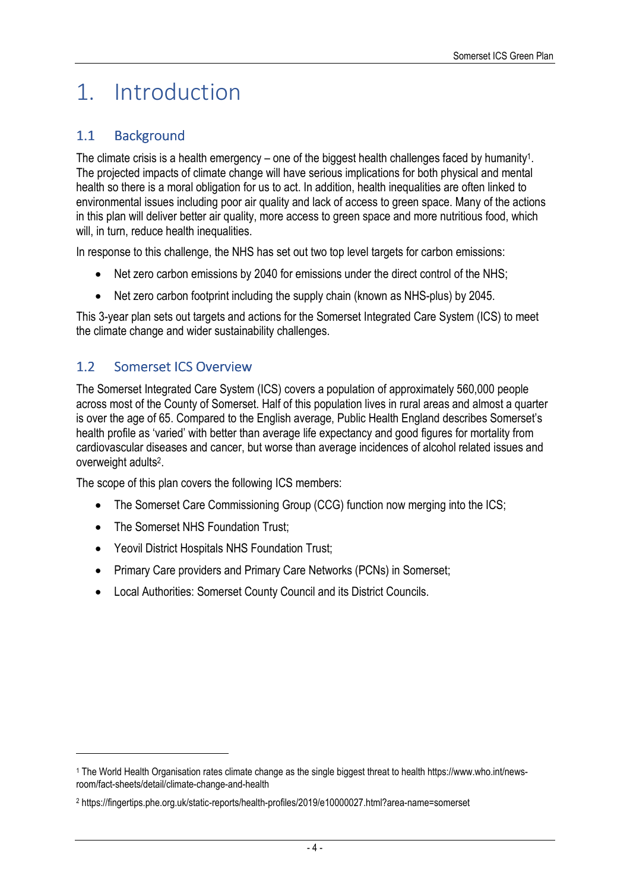# 1. Introduction

## 1.1 Background

The climate crisis is a health emergency – one of the biggest health challenges faced by humanity<sup>1</sup>. The projected impacts of climate change will have serious implications for both physical and mental health so there is a moral obligation for us to act. In addition, health inequalities are often linked to environmental issues including poor air quality and lack of access to green space. Many of the actions in this plan will deliver better air quality, more access to green space and more nutritious food, which will, in turn, reduce health inequalities.

In response to this challenge, the NHS has set out two top level targets for carbon emissions:

- Net zero carbon emissions by 2040 for emissions under the direct control of the NHS;
- Net zero carbon footprint including the supply chain (known as NHS-plus) by 2045.

This 3-year plan sets out targets and actions for the Somerset Integrated Care System (ICS) to meet the climate change and wider sustainability challenges.

### 1.2 Somerset ICS Overview

The Somerset Integrated Care System (ICS) covers a population of approximately 560,000 people across most of the County of Somerset. Half of this population lives in rural areas and almost a quarter is over the age of 65. Compared to the English average, Public Health England describes Somerset's health profile as 'varied' with better than average life expectancy and good figures for mortality from cardiovascular diseases and cancer, but worse than average incidences of alcohol related issues and overweight adults<sup>2</sup>.

The scope of this plan covers the following ICS members:

- The Somerset Care Commissioning Group (CCG) function now merging into the ICS;
- The Somerset NHS Foundation Trust;
- Yeovil District Hospitals NHS Foundation Trust;
- Primary Care providers and Primary Care Networks (PCNs) in Somerset;
- Local Authorities: Somerset County Council and its District Councils.

<sup>1</sup> The World Health Organisation rates climate change as the single biggest threat to health https://www.who.int/newsroom/fact-sheets/detail/climate-change-and-health

<sup>2</sup> https://fingertips.phe.org.uk/static-reports/health-profiles/2019/e10000027.html?area-name=somerset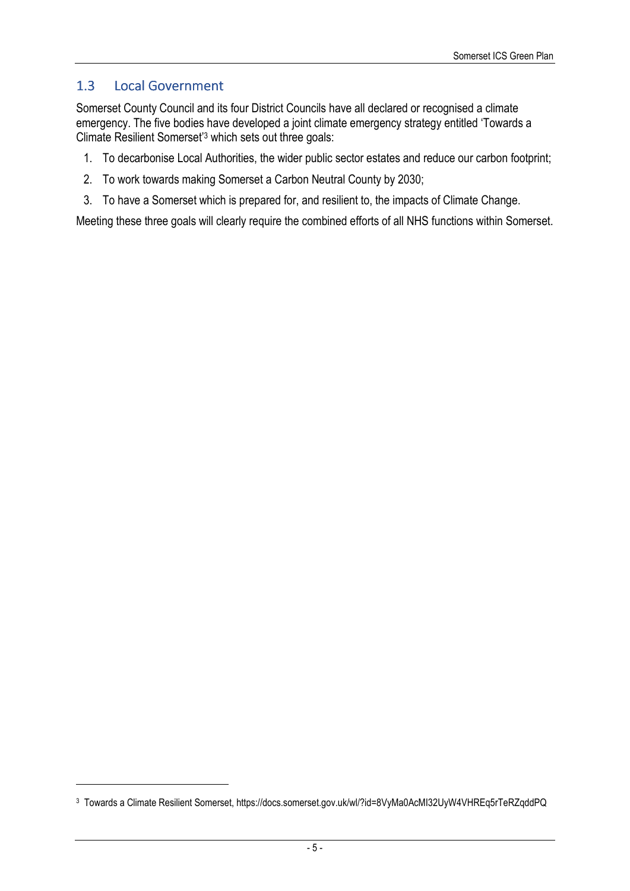### 1.3 Local Government

Somerset County Council and its four District Councils have all declared or recognised a climate emergency. The five bodies have developed a joint climate emergency strategy entitled 'Towards a Climate Resilient Somerset'<sup>3</sup> which sets out three goals:

- 1. To decarbonise Local Authorities, the wider public sector estates and reduce our carbon footprint;
- 2. To work towards making Somerset a Carbon Neutral County by 2030;
- 3. To have a Somerset which is prepared for, and resilient to, the impacts of Climate Change.

Meeting these three goals will clearly require the combined efforts of all NHS functions within Somerset.

<sup>3</sup> Towards a Climate Resilient Somerset, https://docs.somerset.gov.uk/wl/?id=8VyMa0AcMI32UyW4VHREq5rTeRZqddPQ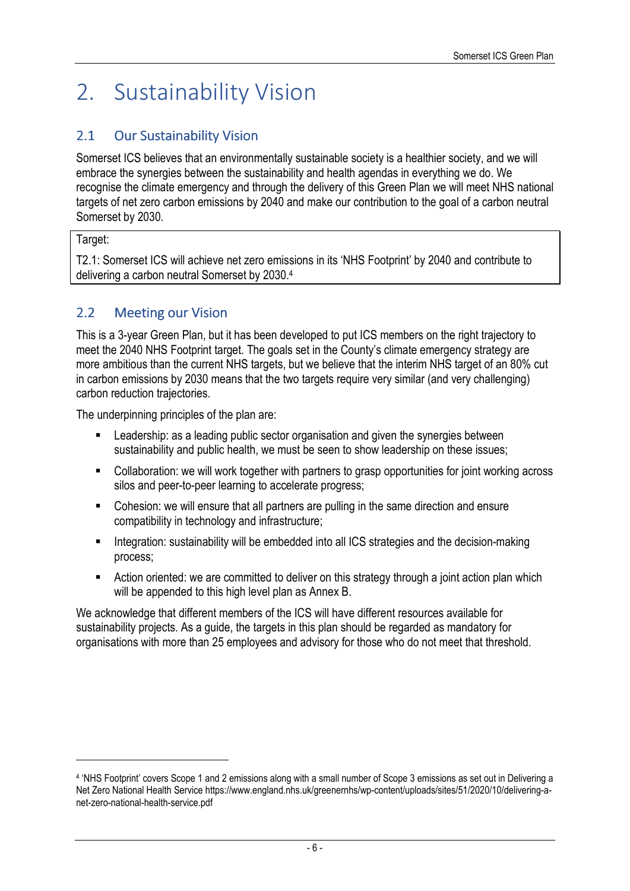# 2. Sustainability Vision

## 2.1 Our Sustainability Vision

Somerset ICS believes that an environmentally sustainable society is a healthier society, and we will embrace the synergies between the sustainability and health agendas in everything we do. We recognise the climate emergency and through the delivery of this Green Plan we will meet NHS national targets of net zero carbon emissions by 2040 and make our contribution to the goal of a carbon neutral Somerset by 2030.

#### Target:

T2.1: Somerset ICS will achieve net zero emissions in its 'NHS Footprint' by 2040 and contribute to delivering a carbon neutral Somerset by 2030.<sup>4</sup>

## 2.2 Meeting our Vision

This is a 3-year Green Plan, but it has been developed to put ICS members on the right trajectory to meet the 2040 NHS Footprint target. The goals set in the County's climate emergency strategy are more ambitious than the current NHS targets, but we believe that the interim NHS target of an 80% cut in carbon emissions by 2030 means that the two targets require very similar (and very challenging) carbon reduction trajectories.

The underpinning principles of the plan are:

- **EXECT** Leadership: as a leading public sector organisation and given the synergies between sustainability and public health, we must be seen to show leadership on these issues;
- Collaboration: we will work together with partners to grasp opportunities for joint working across silos and peer-to-peer learning to accelerate progress;
- Cohesion: we will ensure that all partners are pulling in the same direction and ensure compatibility in technology and infrastructure;
- **Integration: sustainability will be embedded into all ICS strategies and the decision-making** process;
- **EXTER** Action oriented: we are committed to deliver on this strategy through a joint action plan which will be appended to this high level plan as Annex B.

We acknowledge that different members of the ICS will have different resources available for sustainability projects. As a guide, the targets in this plan should be regarded as mandatory for organisations with more than 25 employees and advisory for those who do not meet that threshold.

<sup>4</sup> 'NHS Footprint' covers Scope 1 and 2 emissions along with a small number of Scope 3 emissions as set out in Delivering a Net Zero National Health Service https://www.england.nhs.uk/greenernhs/wp-content/uploads/sites/51/2020/10/delivering-anet-zero-national-health-service.pdf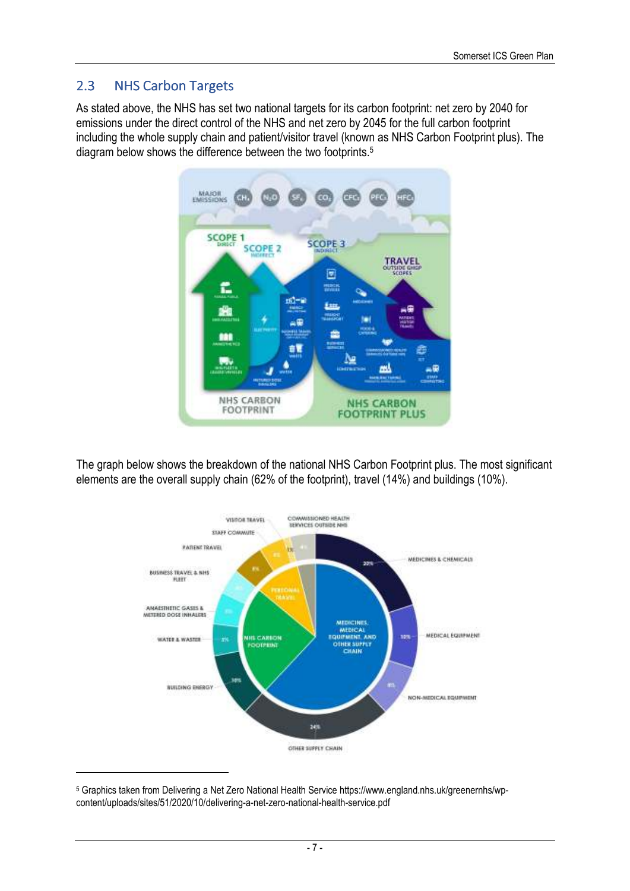### 2.3 NHS Carbon Targets

As stated above, the NHS has set two national targets for its carbon footprint: net zero by 2040 for emissions under the direct control of the NHS and net zero by 2045 for the full carbon footprint including the whole supply chain and patient/visitor travel (known as NHS Carbon Footprint plus). The diagram below shows the difference between the two footprints.<sup>5</sup>



The graph below shows the breakdown of the national NHS Carbon Footprint plus. The most significant elements are the overall supply chain (62% of the footprint), travel (14%) and buildings (10%).



<sup>5</sup> Graphics taken from Delivering a Net Zero National Health Service https://www.england.nhs.uk/greenernhs/wpcontent/uploads/sites/51/2020/10/delivering-a-net-zero-national-health-service.pdf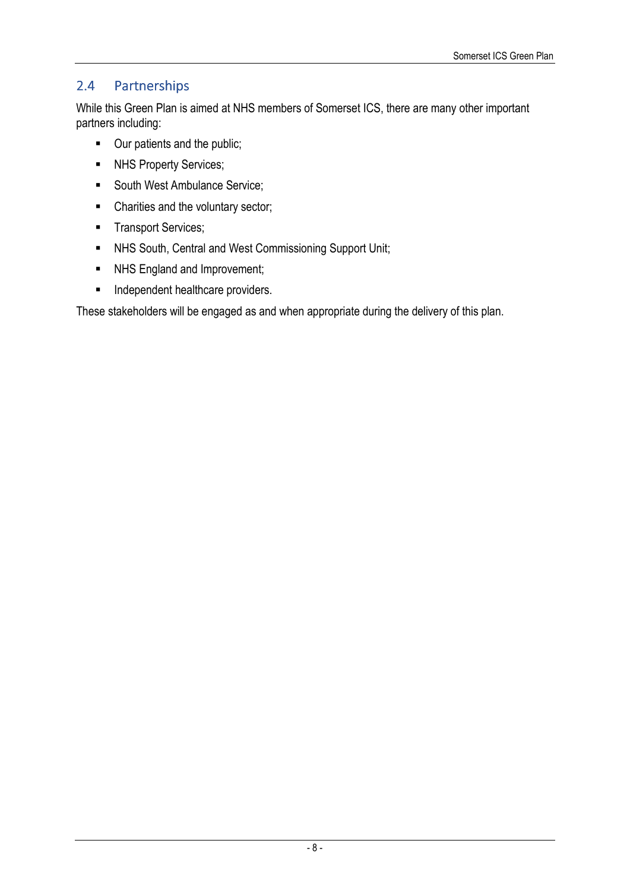# 2.4 Partnerships

While this Green Plan is aimed at NHS members of Somerset ICS, there are many other important partners including:

- Our patients and the public;
- **NHS Property Services;**
- South West Ambulance Service;
- Charities and the voluntary sector;
- **Transport Services;**
- NHS South, Central and West Commissioning Support Unit;
- NHS England and Improvement;
- **Independent healthcare providers.**

These stakeholders will be engaged as and when appropriate during the delivery of this plan.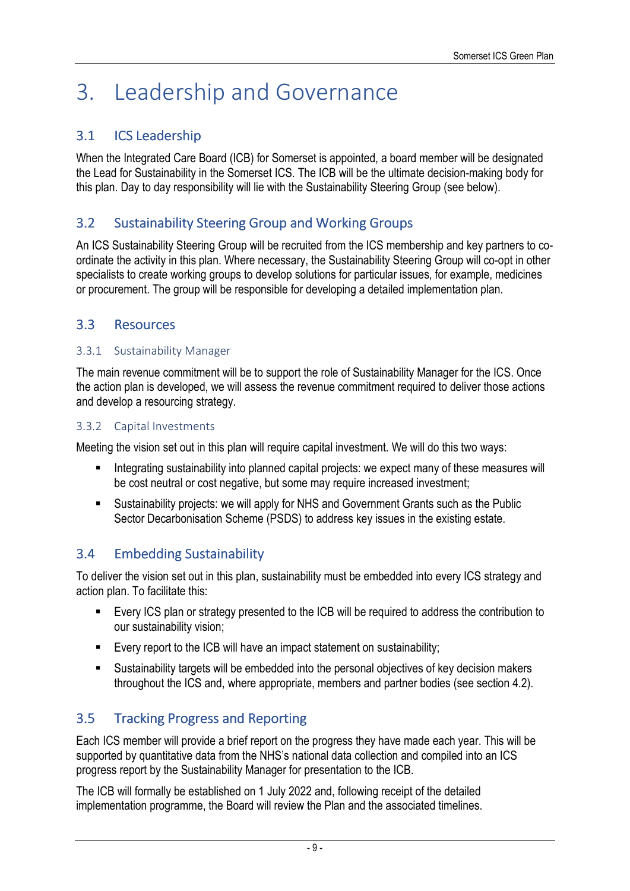# 3. Leadership and Governance

## 3.1 ICS Leadership

When the Integrated Care Board (ICB) for Somerset is appointed, a board member will be designated the Lead for Sustainability in the Somerset ICS. The ICB will be the ultimate decision-making body for this plan. Day to day responsibility will lie with the Sustainability Steering Group (see below).

### 3.2 Sustainability Steering Group and Working Groups

An ICS Sustainability Steering Group will be recruited from the ICS membership and key partners to coordinate the activity in this plan. Where necessary, the Sustainability Steering Group will co-opt in other specialists to create working groups to develop solutions for particular issues, for example, medicines or procurement. The group will be responsible for developing a detailed implementation plan.

### 3.3 Resources Resources

#### 3.3.1 Sustainability Manager

The main revenue commitment will be to support the role of Sustainability Manager for the ICS. Once the action plan is developed, we will assess the revenue commitment required to deliver those actions and develop a resourcing strategy.

#### 3.3.2 Capital Investments

Meeting the vision set out in this plan will require capital investment. We will do this two ways:

- **Integrating sustainability into planned capital projects: we expect many of these measures will** be cost neutral or cost negative, but some may require increased investment;
- Sustainability projects: we will apply for NHS and Government Grants such as the Public Sector Decarbonisation Scheme (PSDS) to address key issues in the existing estate.

### 3.4 Embedding Sustainability

To deliver the vision set out in this plan, sustainability must be embedded into every ICS strategy and action plan. To facilitate this:

- Every ICS plan or strategy presented to the ICB will be required to address the contribution to our sustainability vision;
- Every report to the ICB will have an impact statement on sustainability;
- Sustainability targets will be embedded into the personal objectives of key decision makers throughout the ICS and, where appropriate, members and partner bodies (see section 4.2).

# 3.5 Tracking Progress and Reporting

Each ICS member will provide a brief report on the progress they have made each year. This will be supported by quantitative data from the NHS's national data collection and compiled into an ICS progress report by the Sustainability Manager for presentation to the ICB.

The ICB will formally be established on 1 July 2022 and, following receipt of the detailed implementation programme, the Board will review the Plan and the associated timelines.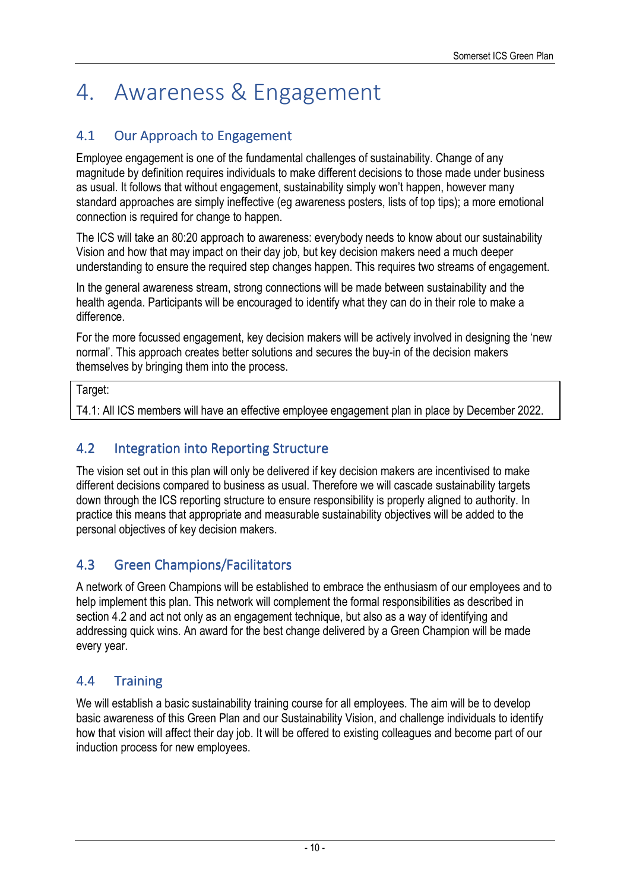# 4. Awareness & Engagement

# 4.1 Our Approach to Engagement

Employee engagement is one of the fundamental challenges of sustainability. Change of any magnitude by definition requires individuals to make different decisions to those made under business as usual. It follows that without engagement, sustainability simply won't happen, however many standard approaches are simply ineffective (eg awareness posters, lists of top tips); a more emotional connection is required for change to happen.

The ICS will take an 80:20 approach to awareness: everybody needs to know about our sustainability Vision and how that may impact on their day job, but key decision makers need a much deeper understanding to ensure the required step changes happen. This requires two streams of engagement.

In the general awareness stream, strong connections will be made between sustainability and the health agenda. Participants will be encouraged to identify what they can do in their role to make a difference.

For the more focussed engagement, key decision makers will be actively involved in designing the 'new normal'. This approach creates better solutions and secures the buy-in of the decision makers themselves by bringing them into the process.

#### Target:

T4.1: All ICS members will have an effective employee engagement plan in place by December 2022.

## 4.2 Integration into Reporting Structure

The vision set out in this plan will only be delivered if key decision makers are incentivised to make different decisions compared to business as usual. Therefore we will cascade sustainability targets down through the ICS reporting structure to ensure responsibility is properly aligned to authority. In practice this means that appropriate and measurable sustainability objectives will be added to the personal objectives of key decision makers.

# 4.3 Green Champions/Facilitators

A network of Green Champions will be established to embrace the enthusiasm of our employees and to help implement this plan. This network will complement the formal responsibilities as described in section 4.2 and act not only as an engagement technique, but also as a way of identifying and addressing quick wins. An award for the best change delivered by a Green Champion will be made every year.

# 4.4 Training

We will establish a basic sustainability training course for all employees. The aim will be to develop basic awareness of this Green Plan and our Sustainability Vision, and challenge individuals to identify how that vision will affect their day job. It will be offered to existing colleagues and become part of our induction process for new employees.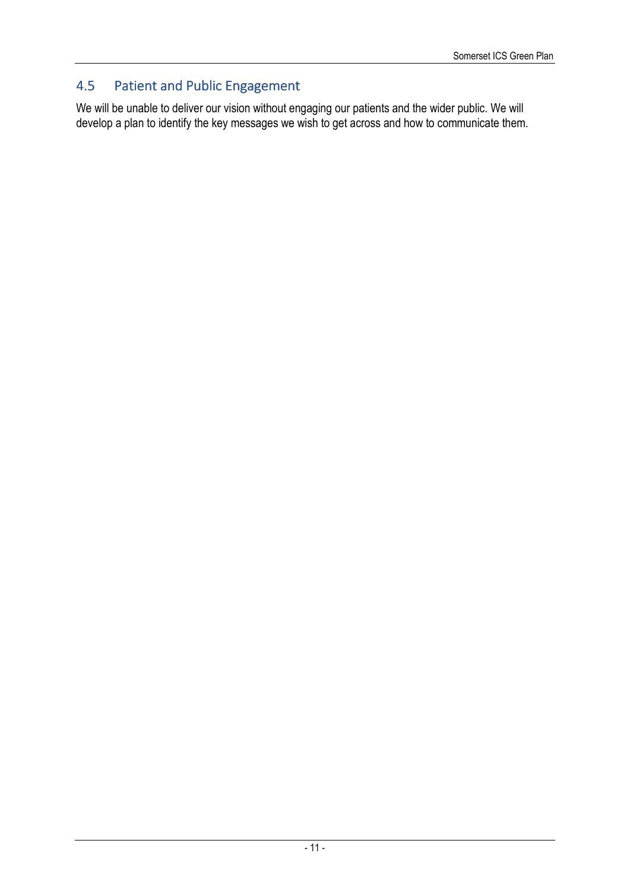# 4.5 Patient and Public Engagement

We will be unable to deliver our vision without engaging our patients and the wider public. We will develop a plan to identify the key messages we wish to get across and how to communicate them.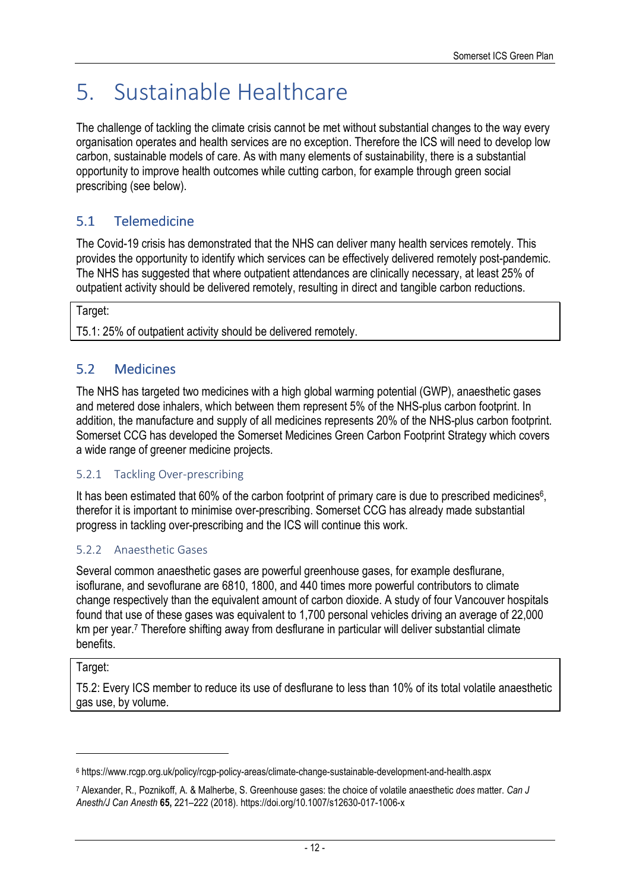# 5. Sustainable Healthcare

The challenge of tackling the climate crisis cannot be met without substantial changes to the way every organisation operates and health services are no exception. Therefore the ICS will need to develop low carbon, sustainable models of care. As with many elements of sustainability, there is a substantial opportunity to improve health outcomes while cutting carbon, for example through green social prescribing (see below).

# 5.1 Telemedicine

The Covid-19 crisis has demonstrated that the NHS can deliver many health services remotely. This provides the opportunity to identify which services can be effectively delivered remotely post-pandemic. The NHS has suggested that where outpatient attendances are clinically necessary, at least 25% of outpatient activity should be delivered remotely, resulting in direct and tangible carbon reductions.

Target:

T5.1: 25% of outpatient activity should be delivered remotely.

### 5.2 Medicines Medicines

The NHS has targeted two medicines with a high global warming potential (GWP), anaesthetic gases and metered dose inhalers, which between them represent 5% of the NHS-plus carbon footprint. In addition, the manufacture and supply of all medicines represents 20% of the NHS-plus carbon footprint. Somerset CCG has developed the Somerset Medicines Green Carbon Footprint Strategy which covers a wide range of greener medicine projects.

#### 5.2.1 Tackling Over-prescribing

It has been estimated that 60% of the carbon footprint of primary care is due to prescribed medicines<sup>6</sup>, therefor it is important to minimise over-prescribing. Somerset CCG has already made substantial progress in tackling over-prescribing and the ICS will continue this work.

#### 5.2.2 Anaesthetic Gases

Several common anaesthetic gases are powerful greenhouse gases, for example desflurane, isoflurane, and sevoflurane are 6810, 1800, and 440 times more powerful contributors to climate change respectively than the equivalent amount of carbon dioxide. A study of four Vancouver hospitals found that use of these gases was equivalent to 1,700 personal vehicles driving an average of 22,000 km per year.<sup>7</sup> Therefore shifting away from desflurane in particular will deliver substantial climate benefits.

#### Target:

T5.2: Every ICS member to reduce its use of desflurane to less than 10% of its total volatile anaesthetic gas use, by volume.

<sup>6</sup> https://www.rcgp.org.uk/policy/rcgp-policy-areas/climate-change-sustainable-development-and-health.aspx

<sup>7</sup> Alexander, R., Poznikoff, A. & Malherbe, S. Greenhouse gases: the choice of volatile anaesthetic *does* matter. *Can J Anesth/J Can Anesth* **65,** 221–222 (2018). https://doi.org/10.1007/s12630-017-1006-x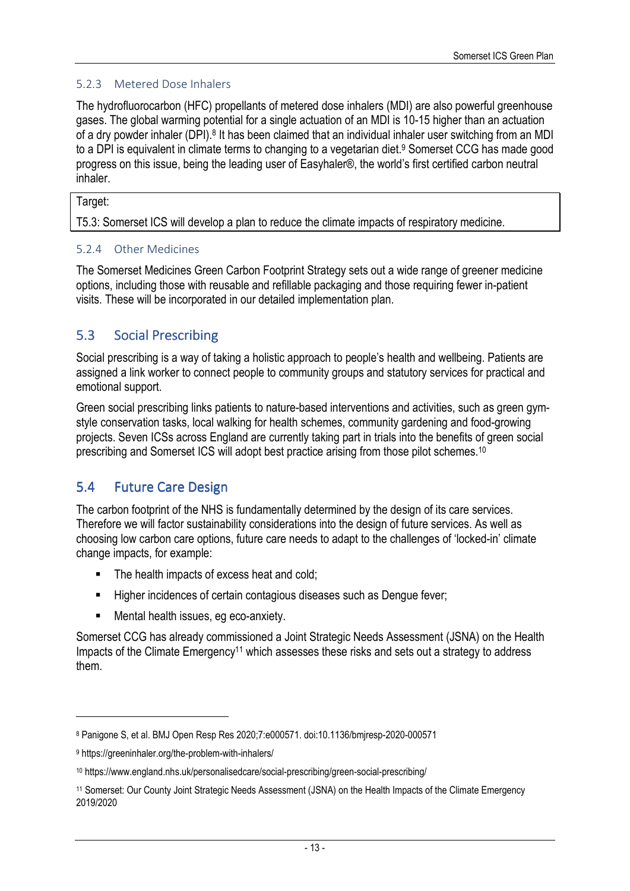#### 5.2.3 Metered Dose Inhalers

The hydrofluorocarbon (HFC) propellants of metered dose inhalers (MDI) are also powerful greenhouse gases. The global warming potential for a single actuation of an MDI is 10-15 higher than an actuation of a dry powder inhaler (DPI).<sup>8</sup> It has been claimed that an individual inhaler user switching from an MDI to a DPI is equivalent in climate terms to changing to a vegetarian diet.<sup>9</sup> Somerset CCG has made good progress on this issue, being the leading user of Easyhaler®, the world's first certified carbon neutral inhaler.

#### Target:

T5.3: Somerset ICS will develop a plan to reduce the climate impacts of respiratory medicine.

#### 5.2.4 Other Medicines

The Somerset Medicines Green Carbon Footprint Strategy sets out a wide range of greener medicine options, including those with reusable and refillable packaging and those requiring fewer in-patient visits. These will be incorporated in our detailed implementation plan.

### 5.3 Social Prescribing

Social prescribing is a way of taking a holistic approach to people's health and wellbeing. Patients are assigned a link worker to connect people to community groups and statutory services for practical and emotional support.

Green social prescribing links patients to nature-based interventions and activities, such as green gymstyle conservation tasks, local walking for health schemes, community gardening and food-growing projects. Seven ICSs across England are currently taking part in trials into the benefits of green social prescribing and Somerset ICS will adopt best practice arising from those pilot schemes.<sup>10</sup>

### 5.4 Future Care Design

The carbon footprint of the NHS is fundamentally determined by the design of its care services. Therefore we will factor sustainability considerations into the design of future services. As well as choosing low carbon care options, future care needs to adapt to the challenges of 'locked-in' climate change impacts, for example:

- The health impacts of excess heat and cold;
- Higher incidences of certain contagious diseases such as Dengue fever;
- **Mental health issues, eg eco-anxiety.**

Somerset CCG has already commissioned a Joint Strategic Needs Assessment (JSNA) on the Health Impacts of the Climate Emergency11 which assesses these risks and sets out a strategy to address them.

<sup>8</sup> Panigone S, et al. BMJ Open Resp Res 2020;7:e000571. doi:10.1136/bmjresp-2020-000571

<sup>9</sup> https://greeninhaler.org/the-problem-with-inhalers/

<sup>10</sup> https://www.england.nhs.uk/personalisedcare/social-prescribing/green-social-prescribing/

<sup>11</sup> Somerset: Our County Joint Strategic Needs Assessment (JSNA) on the Health Impacts of the Climate Emergency 2019/2020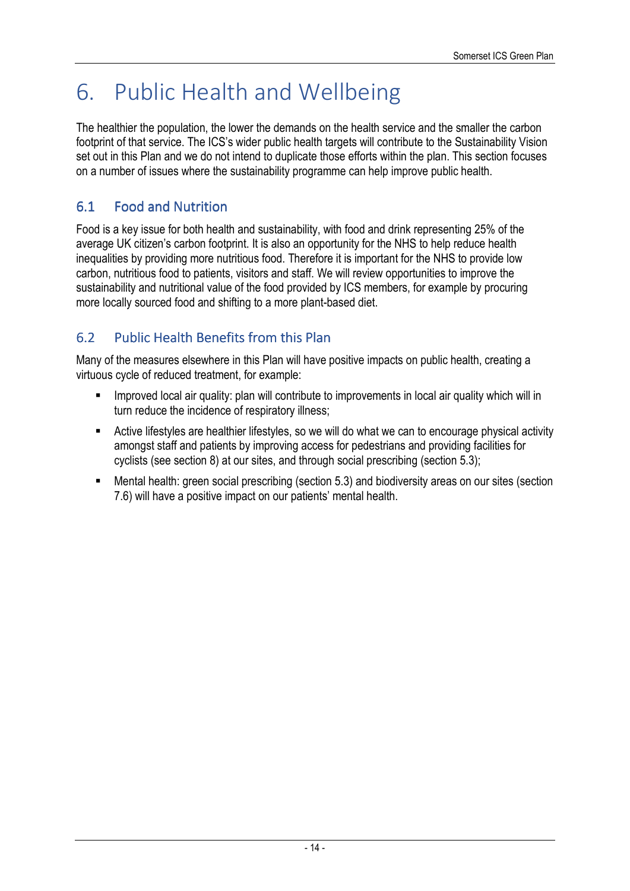# 6. Public Health and Wellbeing

The healthier the population, the lower the demands on the health service and the smaller the carbon footprint of that service. The ICS's wider public health targets will contribute to the Sustainability Vision set out in this Plan and we do not intend to duplicate those efforts within the plan. This section focuses on a number of issues where the sustainability programme can help improve public health.

# 6.1 Food and Nutrition

Food is a key issue for both health and sustainability, with food and drink representing 25% of the average UK citizen's carbon footprint. It is also an opportunity for the NHS to help reduce health inequalities by providing more nutritious food. Therefore it is important for the NHS to provide low carbon, nutritious food to patients, visitors and staff. We will review opportunities to improve the sustainability and nutritional value of the food provided by ICS members, for example by procuring more locally sourced food and shifting to a more plant-based diet.

# 6.2 Public Health Benefits from this Plan

Many of the measures elsewhere in this Plan will have positive impacts on public health, creating a virtuous cycle of reduced treatment, for example:

- Improved local air quality: plan will contribute to improvements in local air quality which will in turn reduce the incidence of respiratory illness;
- Active lifestyles are healthier lifestyles, so we will do what we can to encourage physical activity amongst staff and patients by improving access for pedestrians and providing facilities for cyclists (see section 8) at our sites, and through social prescribing (section 5.3);
- Mental health: green social prescribing (section 5.3) and biodiversity areas on our sites (section 7.6) will have a positive impact on our patients' mental health.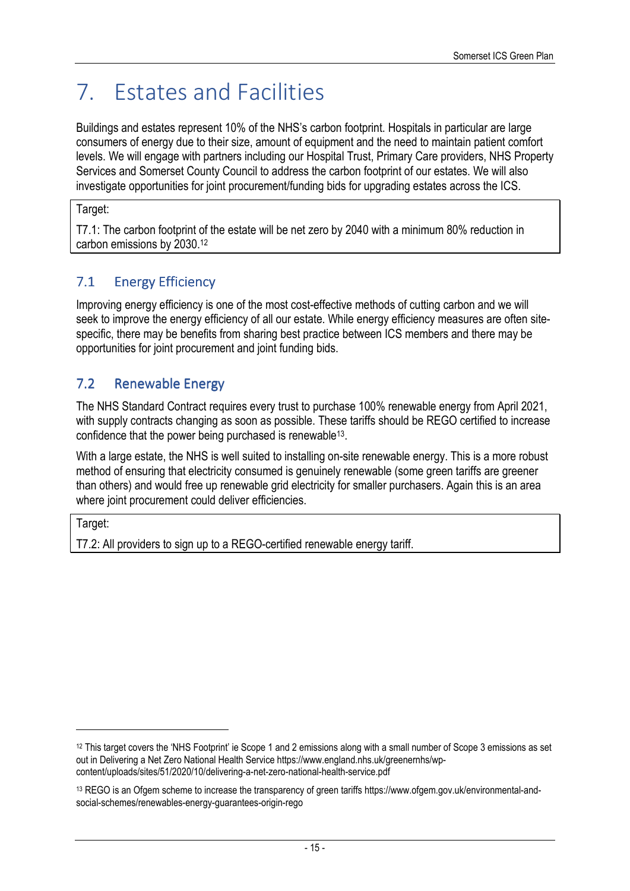# 7. Estates and Facilities

Buildings and estates represent 10% of the NHS's carbon footprint. Hospitals in particular are large consumers of energy due to their size, amount of equipment and the need to maintain patient comfort levels. We will engage with partners including our Hospital Trust, Primary Care providers, NHS Property Services and Somerset County Council to address the carbon footprint of our estates. We will also investigate opportunities for joint procurement/funding bids for upgrading estates across the ICS.

#### Target:

T7.1: The carbon footprint of the estate will be net zero by 2040 with a minimum 80% reduction in carbon emissions by 2030.<sup>12</sup>

# 7.1 Energy Efficiency

Improving energy efficiency is one of the most cost-effective methods of cutting carbon and we will seek to improve the energy efficiency of all our estate. While energy efficiency measures are often sitespecific, there may be benefits from sharing best practice between ICS members and there may be opportunities for joint procurement and joint funding bids.

## 7.2 Renewable Energy

The NHS Standard Contract requires every trust to purchase 100% renewable energy from April 2021, with supply contracts changing as soon as possible. These tariffs should be REGO certified to increase confidence that the power being purchased is renewable<sup>13</sup> .

With a large estate, the NHS is well suited to installing on-site renewable energy. This is a more robust method of ensuring that electricity consumed is genuinely renewable (some green tariffs are greener than others) and would free up renewable grid electricity for smaller purchasers. Again this is an area where joint procurement could deliver efficiencies.

Target:

T7.2: All providers to sign up to a REGO-certified renewable energy tariff.

<sup>&</sup>lt;sup>12</sup> This target covers the 'NHS Footprint' ie Scope 1 and 2 emissions along with a small number of Scope 3 emissions as set out in Delivering a Net Zero National Health Service https://www.england.nhs.uk/greenernhs/wpcontent/uploads/sites/51/2020/10/delivering-a-net-zero-national-health-service.pdf

<sup>13</sup> REGO is an Ofgem scheme to increase the transparency of green tariffs https://www.ofgem.gov.uk/environmental-andsocial-schemes/renewables-energy-guarantees-origin-rego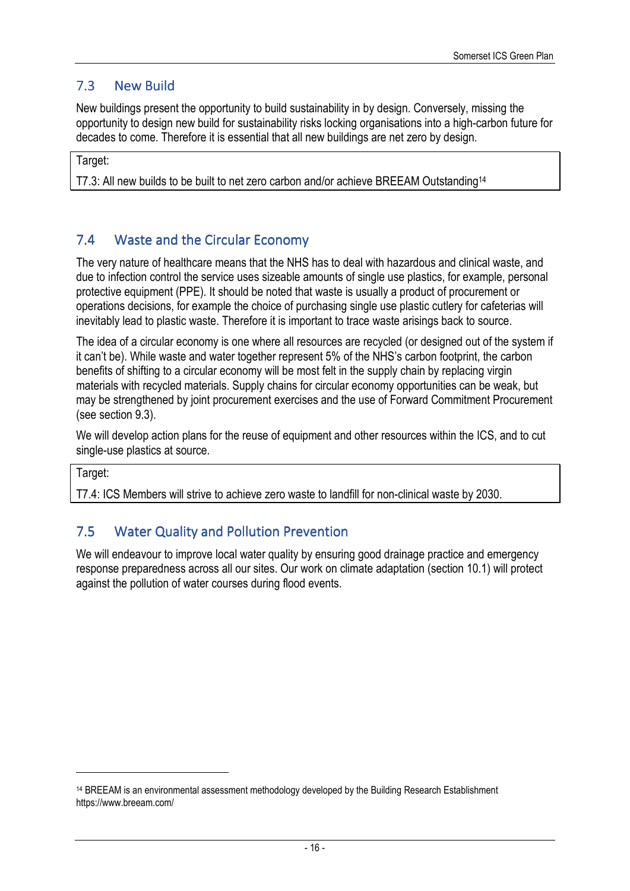## 7.3 New Build

New buildings present the opportunity to build sustainability in by design. Conversely, missing the opportunity to design new build for sustainability risks locking organisations into a high-carbon future for decades to come. Therefore it is essential that all new buildings are net zero by design.

Target:

T7.3: All new builds to be built to net zero carbon and/or achieve BREEAM Outstanding<sup>14</sup>

## 7.4 Waste and the Circular Economy

The very nature of healthcare means that the NHS has to deal with hazardous and clinical waste, and due to infection control the service uses sizeable amounts of single use plastics, for example, personal protective equipment (PPE). It should be noted that waste is usually a product of procurement or operations decisions, for example the choice of purchasing single use plastic cutlery for cafeterias will inevitably lead to plastic waste. Therefore it is important to trace waste arisings back to source.

The idea of a circular economy is one where all resources are recycled (or designed out of the system if it can't be). While waste and water together represent 5% of the NHS's carbon footprint, the carbon benefits of shifting to a circular economy will be most felt in the supply chain by replacing virgin materials with recycled materials. Supply chains for circular economy opportunities can be weak, but may be strengthened by joint procurement exercises and the use of Forward Commitment Procurement (see section 9.3).

We will develop action plans for the reuse of equipment and other resources within the ICS, and to cut single-use plastics at source.

Target:

T7.4: ICS Members will strive to achieve zero waste to landfill for non-clinical waste by 2030.

### 7.5 Water Quality and Pollution Prevention

We will endeavour to improve local water quality by ensuring good drainage practice and emergency response preparedness across all our sites. Our work on climate adaptation (section 10.1) will protect against the pollution of water courses during flood events.

<sup>14</sup> BREEAM is an environmental assessment methodology developed by the Building Research Establishment https://www.breeam.com/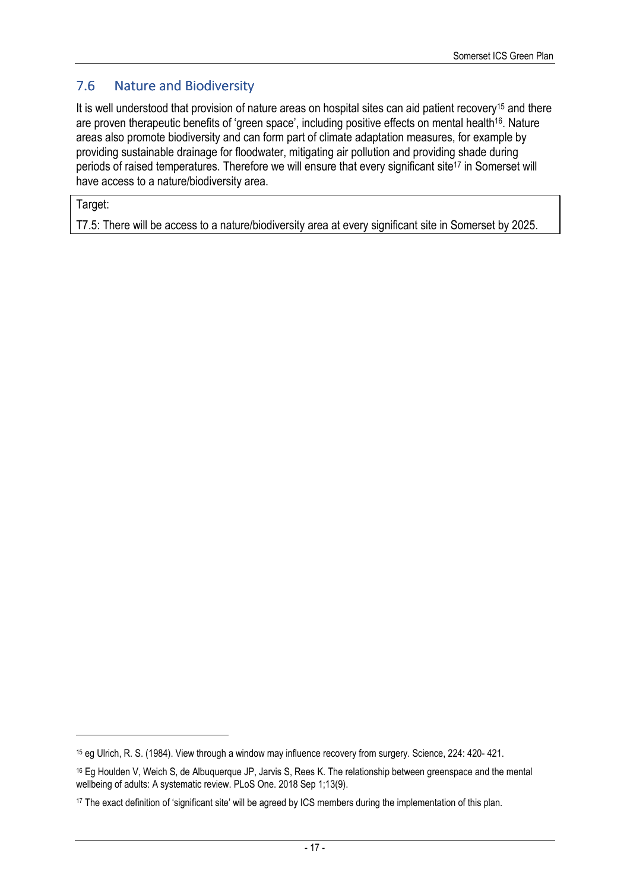## 7.6 Nature and Biodiversity

It is well understood that provision of nature areas on hospital sites can aid patient recovery<sup>15</sup> and there are proven therapeutic benefits of 'green space', including positive effects on mental health<sup>16</sup>. Nature areas also promote biodiversity and can form part of climate adaptation measures, for example by providing sustainable drainage for floodwater, mitigating air pollution and providing shade during periods of raised temperatures. Therefore we will ensure that every significant site<sup>17</sup> in Somerset will have access to a nature/biodiversity area.

Target:

T7.5: There will be access to a nature/biodiversity area at every significant site in Somerset by 2025.

<sup>15</sup> eg Ulrich, R. S. (1984). View through a window may influence recovery from surgery. Science, 224: 420- 421.

<sup>&</sup>lt;sup>16</sup> Eg Houlden V, Weich S, de Albuquerque JP, Jarvis S, Rees K. The relationship between greenspace and the mental wellbeing of adults: A systematic review. PLoS One. 2018 Sep 1;13(9).

<sup>17</sup> The exact definition of 'significant site' will be agreed by ICS members during the implementation of this plan.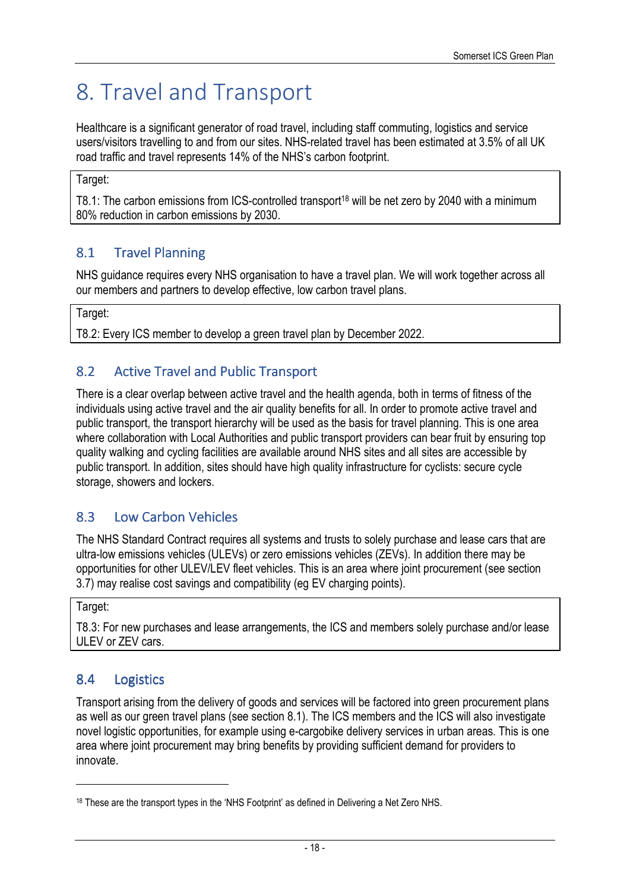# 8. Travel and Transport

Healthcare is a significant generator of road travel, including staff commuting, logistics and service users/visitors travelling to and from our sites. NHS-related travel has been estimated at 3.5% of all UK road traffic and travel represents 14% of the NHS's carbon footprint.

Target:

T8.1: The carbon emissions from ICS-controlled transport<sup>18</sup> will be net zero by 2040 with a minimum 80% reduction in carbon emissions by 2030.

# 8.1 Travel Planning

NHS guidance requires every NHS organisation to have a travel plan. We will work together across all our members and partners to develop effective, low carbon travel plans.

Target:

T8.2: Every ICS member to develop a green travel plan by December 2022.

## 8.2 Active Travel and Public Transport

There is a clear overlap between active travel and the health agenda, both in terms of fitness of the individuals using active travel and the air quality benefits for all. In order to promote active travel and public transport, the transport hierarchy will be used as the basis for travel planning. This is one area where collaboration with Local Authorities and public transport providers can bear fruit by ensuring top quality walking and cycling facilities are available around NHS sites and all sites are accessible by public transport. In addition, sites should have high quality infrastructure for cyclists: secure cycle storage, showers and lockers.

# 8.3 Low Carbon Vehicles

The NHS Standard Contract requires all systems and trusts to solely purchase and lease cars that are ultra-low emissions vehicles (ULEVs) or zero emissions vehicles (ZEVs). In addition there may be opportunities for other ULEV/LEV fleet vehicles. This is an area where joint procurement (see section 3.7) may realise cost savings and compatibility (eg EV charging points).

Target:

T8.3: For new purchases and lease arrangements, the ICS and members solely purchase and/or lease ULEV or ZEV cars.

## 8.4 Logistics

Transport arising from the delivery of goods and services will be factored into green procurement plans as well as our green travel plans (see section 8.1). The ICS members and the ICS will also investigate novel logistic opportunities, for example using e-cargobike delivery services in urban areas. This is one area where joint procurement may bring benefits by providing sufficient demand for providers to innovate.

<sup>18</sup> These are the transport types in the 'NHS Footprint' as defined in Delivering a Net Zero NHS.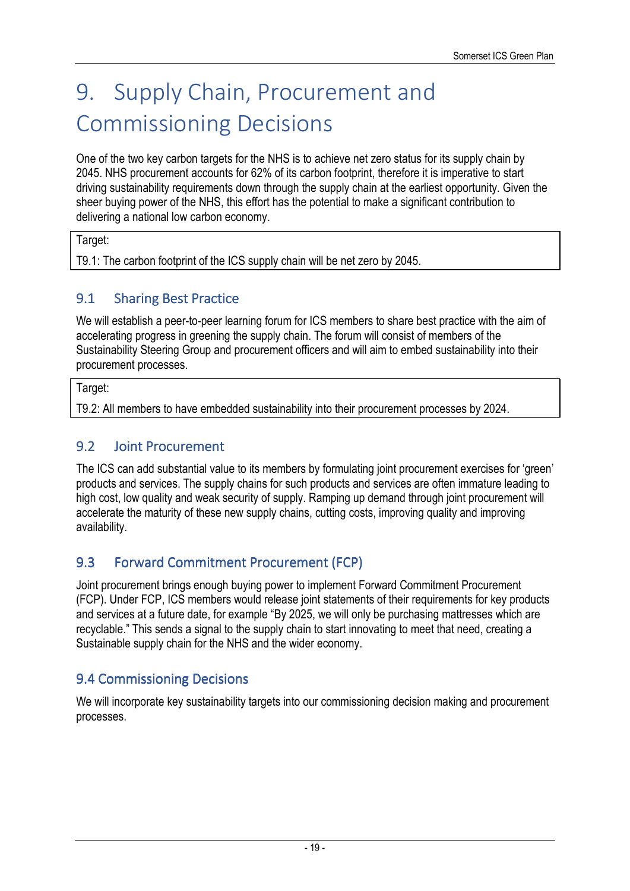# 9. Supply Chain, Procurement and Commissioning Decisions

One of the two key carbon targets for the NHS is to achieve net zero status for its supply chain by 2045. NHS procurement accounts for 62% of its carbon footprint, therefore it is imperative to start driving sustainability requirements down through the supply chain at the earliest opportunity. Given the sheer buying power of the NHS, this effort has the potential to make a significant contribution to delivering a national low carbon economy.

#### Target:

T9.1: The carbon footprint of the ICS supply chain will be net zero by 2045.

### 9.1 Sharing Best Practice

We will establish a peer-to-peer learning forum for ICS members to share best practice with the aim of accelerating progress in greening the supply chain. The forum will consist of members of the Sustainability Steering Group and procurement officers and will aim to embed sustainability into their procurement processes.

Target:

T9.2: All members to have embedded sustainability into their procurement processes by 2024.

### 9.2 Joint Procurement

The ICS can add substantial value to its members by formulating joint procurement exercises for 'green' products and services. The supply chains for such products and services are often immature leading to high cost, low quality and weak security of supply. Ramping up demand through joint procurement will accelerate the maturity of these new supply chains, cutting costs, improving quality and improving availability.

## 9.3 Forward Commitment Procurement (FCP)

Joint procurement brings enough buying power to implement Forward Commitment Procurement (FCP). Under FCP, ICS members would release joint statements of their requirements for key products and services at a future date, for example "By 2025, we will only be purchasing mattresses which are recyclable." This sends a signal to the supply chain to start innovating to meet that need, creating a Sustainable supply chain for the NHS and the wider economy.

### 9.4 Commissioning Decisions

We will incorporate key sustainability targets into our commissioning decision making and procurement processes.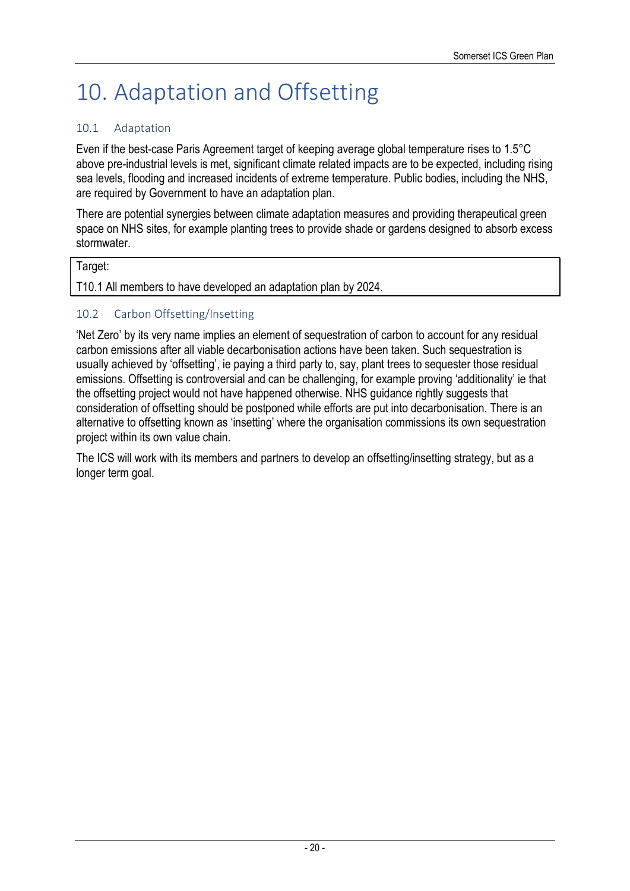# 10. Adaptation and Offsetting

#### 10.1 Adaptation

Even if the best-case Paris Agreement target of keeping average global temperature rises to 1.5°C above pre-industrial levels is met, significant climate related impacts are to be expected, including rising sea levels, flooding and increased incidents of extreme temperature. Public bodies, including the NHS, are required by Government to have an adaptation plan.

There are potential synergies between climate adaptation measures and providing therapeutical green space on NHS sites, for example planting trees to provide shade or gardens designed to absorb excess stormwater.

#### Target:

T10.1 All members to have developed an adaptation plan by 2024.

#### 10.2 Carbon Offsetting/Insetting

'Net Zero' by its very name implies an element of sequestration of carbon to account for any residual carbon emissions after all viable decarbonisation actions have been taken. Such sequestration is usually achieved by 'offsetting', ie paying a third party to, say, plant trees to sequester those residual emissions. Offsetting is controversial and can be challenging, for example proving 'additionality' ie that the offsetting project would not have happened otherwise. NHS guidance rightly suggests that consideration of offsetting should be postponed while efforts are put into decarbonisation. There is an alternative to offsetting known as 'insetting' where the organisation commissions its own sequestration project within its own value chain.

The ICS will work with its members and partners to develop an offsetting/insetting strategy, but as a longer term goal.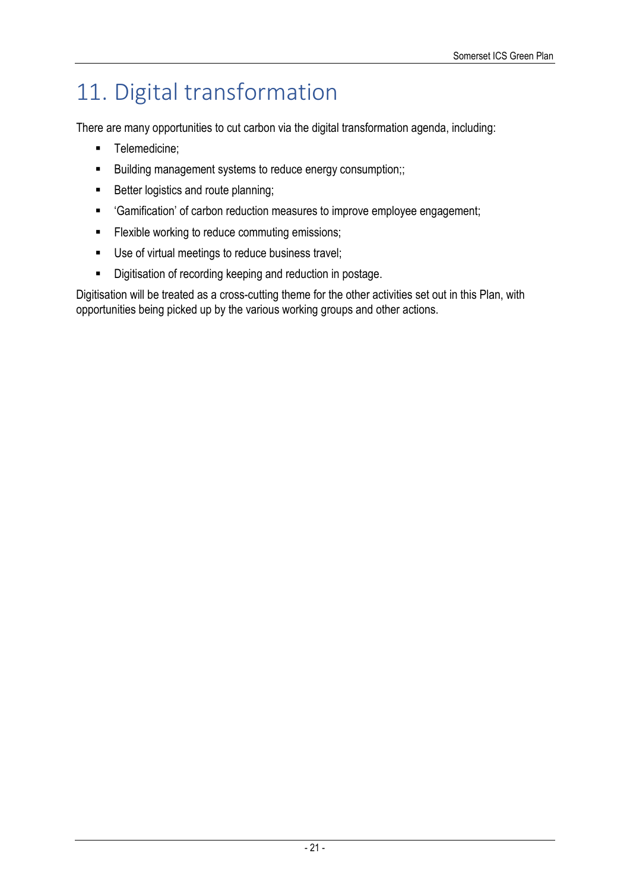# 11. Digital transformation

There are many opportunities to cut carbon via the digital transformation agenda, including:

- **Telemedicine:**
- **Building management systems to reduce energy consumption;;**
- Better logistics and route planning;
- 'Gamification' of carbon reduction measures to improve employee engagement;
- **Filexible working to reduce commuting emissions;**
- Use of virtual meetings to reduce business travel;
- Digitisation of recording keeping and reduction in postage.

Digitisation will be treated as a cross-cutting theme for the other activities set out in this Plan, with opportunities being picked up by the various working groups and other actions.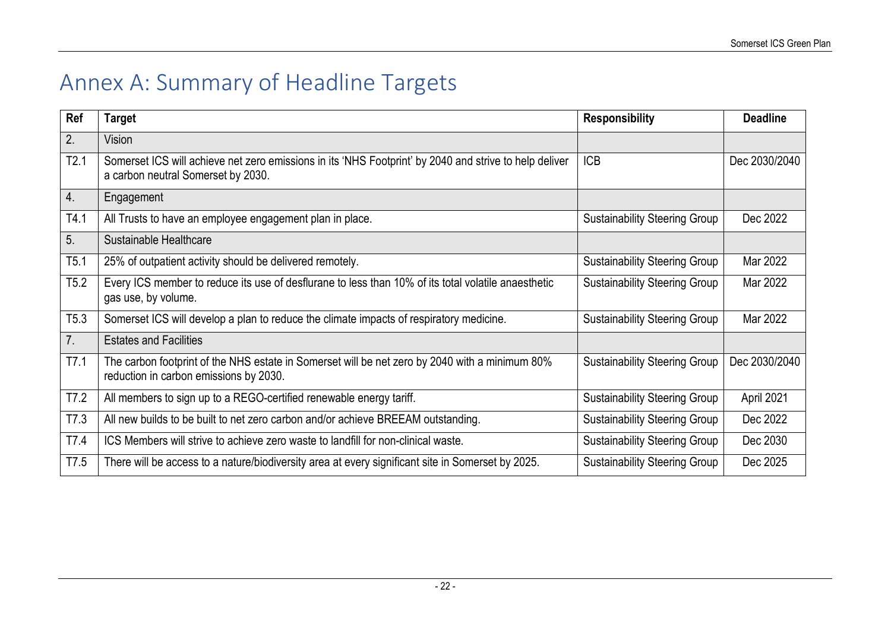# Annex A: Summary of Headline Targets

| Ref            | <b>Target</b>                                                                                                                                | <b>Responsibility</b>                | <b>Deadline</b> |
|----------------|----------------------------------------------------------------------------------------------------------------------------------------------|--------------------------------------|-----------------|
| 2.             | Vision                                                                                                                                       |                                      |                 |
| T2.1           | Somerset ICS will achieve net zero emissions in its 'NHS Footprint' by 2040 and strive to help deliver<br>a carbon neutral Somerset by 2030. | <b>ICB</b>                           | Dec 2030/2040   |
| 4.             | Engagement                                                                                                                                   |                                      |                 |
| T4.1           | All Trusts to have an employee engagement plan in place.                                                                                     | <b>Sustainability Steering Group</b> | Dec 2022        |
| 5 <sub>1</sub> | Sustainable Healthcare                                                                                                                       |                                      |                 |
| T5.1           | 25% of outpatient activity should be delivered remotely.                                                                                     | <b>Sustainability Steering Group</b> | Mar 2022        |
| T5.2           | Every ICS member to reduce its use of desflurane to less than 10% of its total volatile anaesthetic<br>gas use, by volume.                   | <b>Sustainability Steering Group</b> | Mar 2022        |
| T5.3           | Somerset ICS will develop a plan to reduce the climate impacts of respiratory medicine.                                                      | <b>Sustainability Steering Group</b> | Mar 2022        |
| 7.             | <b>Estates and Facilities</b>                                                                                                                |                                      |                 |
| T7.1           | The carbon footprint of the NHS estate in Somerset will be net zero by 2040 with a minimum 80%<br>reduction in carbon emissions by 2030.     | <b>Sustainability Steering Group</b> | Dec 2030/2040   |
| T7.2           | All members to sign up to a REGO-certified renewable energy tariff.                                                                          | <b>Sustainability Steering Group</b> | April 2021      |
| T7.3           | All new builds to be built to net zero carbon and/or achieve BREEAM outstanding.                                                             | <b>Sustainability Steering Group</b> | Dec 2022        |
| T7.4           | ICS Members will strive to achieve zero waste to landfill for non-clinical waste.                                                            | <b>Sustainability Steering Group</b> | Dec 2030        |
| T7.5           | There will be access to a nature/biodiversity area at every significant site in Somerset by 2025.                                            | <b>Sustainability Steering Group</b> | Dec 2025        |